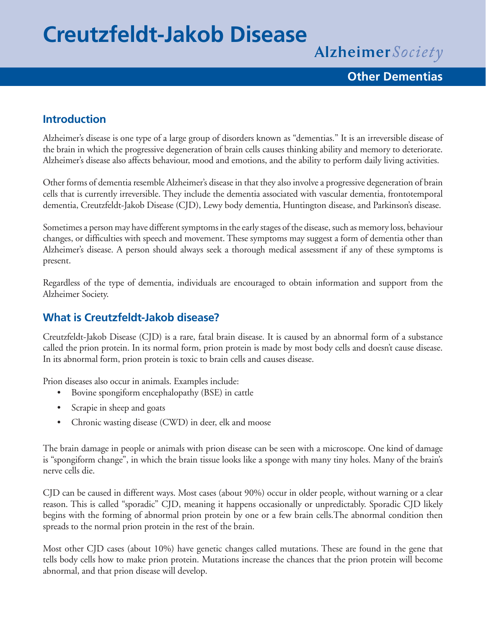# **Creutzfeldt-Jakob Disease**

Alzheimer Society

## **Other Dementias**

## **Introduction**

Alzheimer's disease is one type of a large group of disorders known as "dementias." It is an irreversible disease of the brain in which the progressive degeneration of brain cells causes thinking ability and memory to deteriorate. Alzheimer's disease also affects behaviour, mood and emotions, and the ability to perform daily living activities.

Other forms of dementia resemble Alzheimer's disease in that they also involve a progressive degeneration of brain cells that is currently irreversible. They include the dementia associated with vascular dementia, frontotemporal dementia, Creutzfeldt-Jakob Disease (CJD), Lewy body dementia, Huntington disease, and Parkinson's disease.

Sometimes a person may have different symptoms in the early stages of the disease, such as memory loss, behaviour changes, or difficulties with speech and movement. These symptoms may suggest a form of dementia other than Alzheimer's disease. A person should always seek a thorough medical assessment if any of these symptoms is present.

Regardless of the type of dementia, individuals are encouraged to obtain information and support from the Alzheimer Society.

## **What is Creutzfeldt-Jakob disease?**

Creutzfeldt-Jakob Disease (CJD) is a rare, fatal brain disease. It is caused by an abnormal form of a substance called the prion protein. In its normal form, prion protein is made by most body cells and doesn't cause disease. In its abnormal form, prion protein is toxic to brain cells and causes disease.

Prion diseases also occur in animals. Examples include:

- Bovine spongiform encephalopathy (BSE) in cattle
- Scrapie in sheep and goats
- Chronic wasting disease (CWD) in deer, elk and moose

The brain damage in people or animals with prion disease can be seen with a microscope. One kind of damage is "spongiform change", in which the brain tissue looks like a sponge with many tiny holes. Many of the brain's nerve cells die.

CJD can be caused in different ways. Most cases (about 90%) occur in older people, without warning or a clear reason. This is called "sporadic" CJD, meaning it happens occasionally or unpredictably. Sporadic CJD likely begins with the forming of abnormal prion protein by one or a few brain cells.The abnormal condition then spreads to the normal prion protein in the rest of the brain.

Most other CJD cases (about 10%) have genetic changes called mutations. These are found in the gene that tells body cells how to make prion protein. Mutations increase the chances that the prion protein will become abnormal, and that prion disease will develop.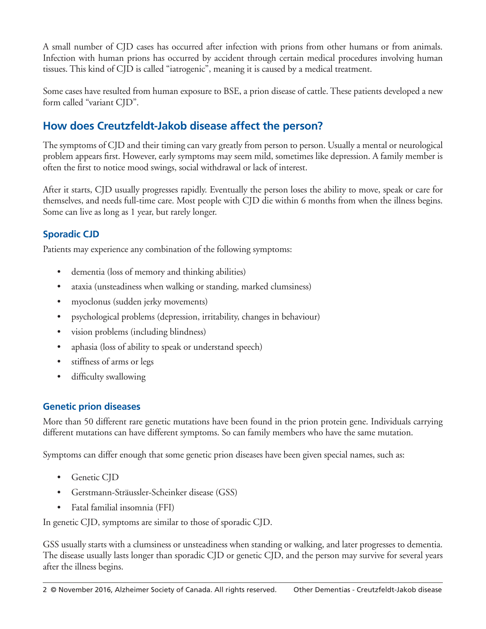A small number of CJD cases has occurred after infection with prions from other humans or from animals. Infection with human prions has occurred by accident through certain medical procedures involving human tissues. This kind of CJD is called "iatrogenic", meaning it is caused by a medical treatment.

Some cases have resulted from human exposure to BSE, a prion disease of cattle. These patients developed a new form called "variant CJD".

## **How does Creutzfeldt-Jakob disease affect the person?**

The symptoms of CJD and their timing can vary greatly from person to person. Usually a mental or neurological problem appears first. However, early symptoms may seem mild, sometimes like depression. A family member is often the first to notice mood swings, social withdrawal or lack of interest.

After it starts, CJD usually progresses rapidly. Eventually the person loses the ability to move, speak or care for themselves, and needs full-time care. Most people with CJD die within 6 months from when the illness begins. Some can live as long as 1 year, but rarely longer.

## **Sporadic CJD**

Patients may experience any combination of the following symptoms:

- dementia (loss of memory and thinking abilities)
- ataxia (unsteadiness when walking or standing, marked clumsiness)
- myoclonus (sudden jerky movements)
- psychological problems (depression, irritability, changes in behaviour)
- vision problems (including blindness)
- aphasia (loss of ability to speak or understand speech)
- stiffness of arms or legs
- difficulty swallowing

#### **Genetic prion diseases**

More than 50 different rare genetic mutations have been found in the prion protein gene. Individuals carrying different mutations can have different symptoms. So can family members who have the same mutation.

Symptoms can differ enough that some genetic prion diseases have been given special names, such as:

- Genetic CID
- • Gerstmann-Sträussler-Scheinker disease (GSS)
- Fatal familial insomnia (FFI)

In genetic CJD, symptoms are similar to those of sporadic CJD.

GSS usually starts with a clumsiness or unsteadiness when standing or walking, and later progresses to dementia. The disease usually lasts longer than sporadic CJD or genetic CJD, and the person may survive for several years after the illness begins.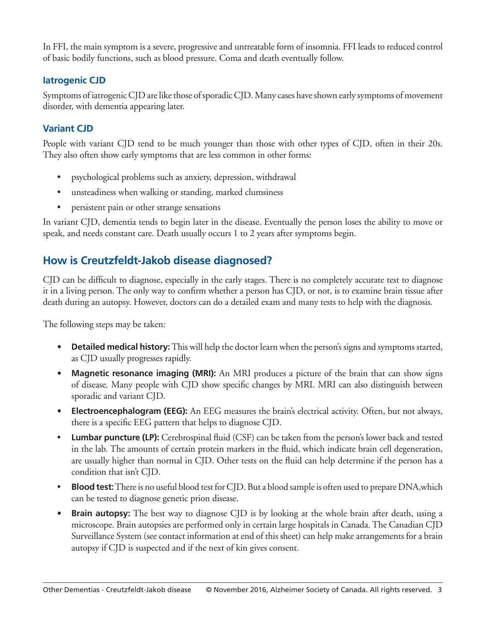In FFI, the main symptom is a severe, progressive and untreatable form of insomnia. FFI leads to reduced control of basic bodily functions, such as blood pressure. Coma and death eventually follow.

#### **Iatrogenic CJD**

Symptoms of iatrogenic CJD are like those of sporadic CJD. Many cases have shown early symptoms of movement disorder, with dementia appearing later.

#### **Variant CJD**

People with variant CJD tend to be much younger than those with other types of CJD, often in their 20s. They also often show early symptoms that are less common in other forms:

- psychological problems such as anxiety, depression, withdrawal
- unsteadiness when walking or standing, marked clumsiness
- persistent pain or other strange sensations

In variant CJD, dementia tends to begin later in the disease. Eventually the person loses the ability to move or speak, and needs constant care. Death usually occurs 1 to 2 years after symptoms begin.

## **How is Creutzfeldt-Jakob disease diagnosed?**

CJD can be difficult to diagnose, especially in the early stages. There is no completely accurate test to diagnose it in a living person. The only way to confirm whether a person has CJD, or not, is to examine brain tissue after death during an autopsy. However, doctors can do a detailed exam and many tests to help with the diagnosis.

The following steps may be taken:

- **Detailed medical history:** This will help the doctor learn when the person's signs and symptoms started, as CJD usually progresses rapidly.
- **• Magnetic resonance imaging (MRI):** An MRI produces a picture of the brain that can show signs of disease. Many people with CJD show specific changes by MRI. MRI can also distinguish between sporadic and variant CJD.
- **• Electroencephalogram (EEG):** An EEG measures the brain's electrical activity. Often, but not always, there is a specific EEG pattern that helps to diagnose CJD.
- **Lumbar puncture (LP):** Cerebrospinal fluid (CSF) can be taken from the person's lower back and tested in the lab. The amounts of certain protein markers in the fluid, which indicate brain cell degeneration, are usually higher than normal in CJD. Other tests on the fluid can help determine if the person has a condition that isn't CJD.
- **Blood test:** There is no useful blood test for CJD. But a blood sample is often used to prepare DNA, which can be tested to diagnose genetic prion disease.
- **Brain autopsy:** The best way to diagnose CJD is by looking at the whole brain after death, using a microscope. Brain autopsies are performed only in certain large hospitals in Canada. The Canadian CJD Surveillance System (see contact information at end of this sheet) can help make arrangements for a brain autopsy if CJD is suspected and if the next of kin gives consent.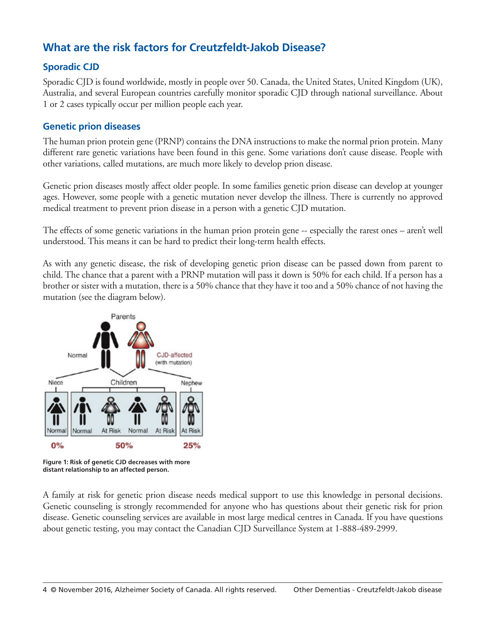## **What are the risk factors for Creutzfeldt-Jakob Disease?**

#### **Sporadic CJD**

Sporadic CJD is found worldwide, mostly in people over 50. Canada, the United States, United Kingdom (UK), Australia, and several European countries carefully monitor sporadic CJD through national surveillance. About 1 or 2 cases typically occur per million people each year.

#### **Genetic prion diseases**

The human prion protein gene (PRNP) contains the DNA instructions to make the normal prion protein. Many different rare genetic variations have been found in this gene. Some variations don't cause disease. People with other variations, called mutations, are much more likely to develop prion disease.

Genetic prion diseases mostly affect older people. In some families genetic prion disease can develop at younger ages. However, some people with a genetic mutation never develop the illness. There is currently no approved medical treatment to prevent prion disease in a person with a genetic CJD mutation.

The effects of some genetic variations in the human prion protein gene -- especially the rarest ones – aren't well understood. This means it can be hard to predict their long-term health effects.

As with any genetic disease, the risk of developing genetic prion disease can be passed down from parent to child. The chance that a parent with a PRNP mutation will pass it down is 50% for each child. If a person has a brother or sister with a mutation, there is a 50% chance that they have it too and a 50% chance of not having the mutation (see the diagram below).



**Figure 1: Risk of genetic CJD decreases with more distant relationship to an affected person.**

A family at risk for genetic prion disease needs medical support to use this knowledge in personal decisions. Genetic counseling is strongly recommended for anyone who has questions about their genetic risk for prion disease. Genetic counseling services are available in most large medical centres in Canada. If you have questions about genetic testing, you may contact the Canadian CJD Surveillance System at 1-888-489-2999.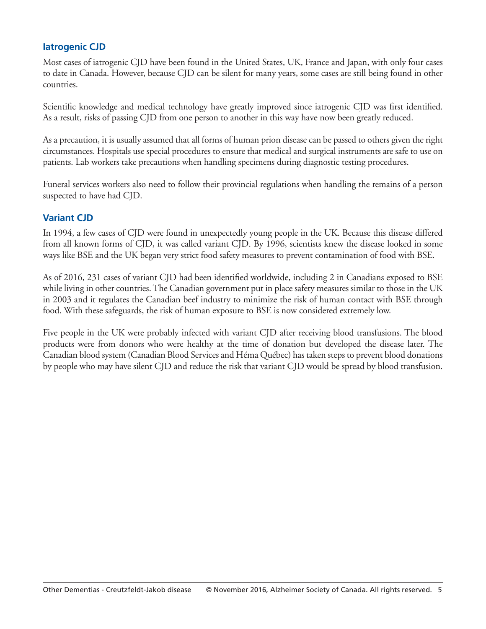#### **Iatrogenic CJD**

Most cases of iatrogenic CJD have been found in the United States, UK, France and Japan, with only four cases to date in Canada. However, because CJD can be silent for many years, some cases are still being found in other countries.

Scientific knowledge and medical technology have greatly improved since iatrogenic CJD was first identified. As a result, risks of passing CJD from one person to another in this way have now been greatly reduced.

As a precaution, it is usually assumed that all forms of human prion disease can be passed to others given the right circumstances. Hospitals use special procedures to ensure that medical and surgical instruments are safe to use on patients. Lab workers take precautions when handling specimens during diagnostic testing procedures.

Funeral services workers also need to follow their provincial regulations when handling the remains of a person suspected to have had CJD.

#### **Variant CJD**

In 1994, a few cases of CJD were found in unexpectedly young people in the UK. Because this disease differed from all known forms of CJD, it was called variant CJD. By 1996, scientists knew the disease looked in some ways like BSE and the UK began very strict food safety measures to prevent contamination of food with BSE.

As of 2016, 231 cases of variant CJD had been identified worldwide, including 2 in Canadians exposed to BSE while living in other countries. The Canadian government put in place safety measures similar to those in the UK in 2003 and it regulates the Canadian beef industry to minimize the risk of human contact with BSE through food. With these safeguards, the risk of human exposure to BSE is now considered extremely low.

Five people in the UK were probably infected with variant CJD after receiving blood transfusions. The blood products were from donors who were healthy at the time of donation but developed the disease later. The Canadian blood system (Canadian Blood Services and Héma Québec) has taken steps to prevent blood donations by people who may have silent CJD and reduce the risk that variant CJD would be spread by blood transfusion.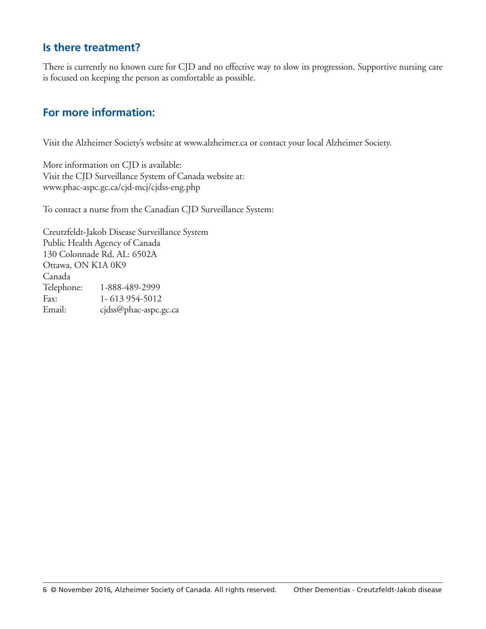#### **Is there treatment?**

There is currently no known cure for CJD and no effective way to slow its progression. Supportive nursing care is focused on keeping the person as comfortable as possible.

## **For more information:**

Visit the Alzheimer Society's website at www.alzheimer.ca or contact your local Alzheimer Society.

More information on CJD is available: Visit the CJD Surveillance System of Canada website at: www.phac-aspc.gc.ca/cjd-mcj/cjdss-eng.php

To contact a nurse from the Canadian CJD Surveillance System:

Creutzfeldt-Jakob Disease Surveillance System Public Health Agency of Canada 130 Colonnade Rd, AL: 6502A Ottawa, ON K1A 0K9 Canada Telephone: 1-888-489-2999 Fax: 1- 613 954-5012 Email: cjdss@phac-aspc.gc.ca